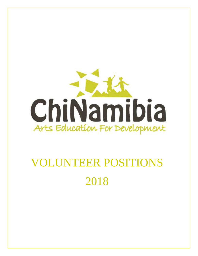

# VOLUNTEER POSITIONS 2018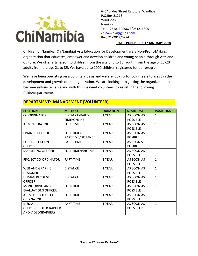

#### **DATE: PUBLISHED: 17 JANUARY 2018**

Children of Namibia (ChiNamibia) Arts Education for Development are a Non-Profit-Making organization that educates, empower and develop children and young people through Arts and Culture. We offer arts lesson to children from the age of 5 to 15, youth from the age of 15-20 adults from the age 21 to 35. We have up to 1000 children registered for our program.

We have been operating on a voluntary basis and we are looking for volunteers to assist in the development and growth of the organization. We are looking into getting the organization to become self-sustainable and with this we need volunteers to assist in the following fields/departments.

| <b>POSITION</b>            | <b>METHOD</b>      | <b>DURATION</b> | <b>START DATE</b> | <b>POSITIONS</b> |
|----------------------------|--------------------|-----------------|-------------------|------------------|
| <b>CO-ORDINATOR</b>        | DISTANCE/PART-     | 1 YEAR          | AS SOON AS        | $\mathbf{1}$     |
|                            | <b>TIME/ONLINE</b> |                 | <b>POSSIBLE</b>   |                  |
| ADMINISTRATOR              | <b>FULL TIME</b>   | 1 YEAR          | AS SOON AS        | $\mathbf{1}$     |
|                            |                    |                 | <b>POSSIBLE</b>   |                  |
| <b>FINANCE OFFICER</b>     | FULL-TIME/         | 1 YEAR          | AS SOON AS        | $\mathbf{1}$     |
|                            | PARTTIME/DISTANCE  |                 | <b>POSIBLE</b>    |                  |
| <b>PUBLIC RELATION</b>     | <b>PART-TIME</b>   | 1 YEAR          | AS SOON S         | $\mathbf{1}$     |
| <b>OFFICER</b>             |                    |                 | <b>POSIBLE</b>    |                  |
| <b>MARKETING OFFICER</b>   | FULL-TIME/PARTIME  | 1 YEAR          | AS SOON AS        | $\mathbf{1}$     |
|                            |                    |                 | <b>POSSIBLE</b>   |                  |
| PROJECT CO-ORDINATOR       | PART-TIME          | 1 YEAR          | AS SOON AS        | $\mathbf{1}$     |
|                            |                    |                 | <b>POSSIBLE</b>   |                  |
| <b>WEB AND GRAPHIC</b>     | <b>DISTANCE</b>    | 1 YEAR          | AS SOON AS        | $\mathbf{1}$     |
| <b>DESIGNER</b>            |                    |                 | <b>POSSIBLE</b>   |                  |
| <b>HUMAN RECOUSE</b>       | <b>DISTANCE</b>    | 1 YEAR          | AS SOON AS        | $\mathbf{1}$     |
| <b>OFFICER</b>             |                    |                 | <b>POSSIBLE</b>   |                  |
| <b>MONITORING AND</b>      | <b>FULL-TIME</b>   | 1 YEAR          | AS SOON AS        | $\mathbf{1}$     |
| <b>EVALUATIONS OFFICER</b> |                    |                 | <b>POSSIBLE</b>   |                  |
| <b>ARTS EDUCATORS CO-</b>  | <b>FULL-TIME</b>   | 1 YEAR          | AS SOON AS        | $\mathbf{1}$     |
| <b>ORDINATOR</b>           |                    |                 | <b>POSSIBLE</b>   |                  |
| <b>MEDIA</b>               | PART-TIME          | 1 YEAR          | AS SOON AS        | $\mathbf{1}$     |
| OFFICER(PHOTOGRAPHER       |                    |                 | <b>POSSIBLER</b>  |                  |
| AND VIDEOGRAPHER)          |                    |                 |                   |                  |

# **DEPARTMENT: MANAGEMENT (VOLUNTEER)**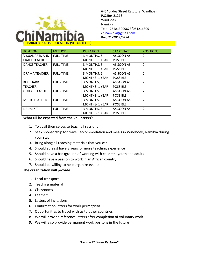

| <b>POSITION</b>        | <b>METHOD</b>    | <b>DURATION</b>      | <b>START DATE</b> | <b>POSITIONS</b>         |
|------------------------|------------------|----------------------|-------------------|--------------------------|
| <b>VISUAL ARTS AND</b> | <b>FULL-TIME</b> | 3 MONTHS, 6          | AS SOON AS        | $\mathcal{P}$            |
| <b>CRAFT TEACHER</b>   |                  | MONTHS- 1 YEAR       | <b>POSSIBLE</b>   |                          |
| <b>DANCE TEACHER</b>   | <b>FULL-TIME</b> | 3 MONTHS, 6          | AS SOON AS        | $\overline{2}$           |
|                        |                  | <b>MONTHS-1 YEAR</b> | <b>POSSIBLE</b>   |                          |
| DRAMA TEACHER          | <b>FULL-TIME</b> | 3 MONTHS, 6          | AS SOON AS        | $\overline{2}$           |
|                        |                  | <b>MONTHS-1 YEAR</b> | <b>POSSIBLE</b>   |                          |
| <b>KEYBOARD</b>        | <b>FULL-TIME</b> | 3 MONTHS, 6          | AS SOON AS        | $\overline{2}$           |
| <b>TEACHER</b>         |                  | MONTHS- 1 YEAR       | <b>POSSIBLE</b>   |                          |
| <b>GUITAR TEACHER</b>  | <b>FULL-TIME</b> | 3 MONTHS, 6          | AS SOON AS        | $\overline{2}$           |
|                        |                  | <b>MONTHS-1 YEAR</b> | <b>POSSIBLE</b>   |                          |
| <b>MUSIC TEACHER</b>   | <b>FULL-TIME</b> | 3 MONTHS, 6          | AS SOON AS        | $\overline{\phantom{a}}$ |
|                        |                  | <b>MONTHS-1 YEAR</b> | <b>POSSIBLE</b>   |                          |
| <b>DRUM KIT</b>        | <b>FULL-TIME</b> | 3 MONTHS, 6          | AS SOON AS        | $\overline{2}$           |
|                        |                  | <b>MONTHS-1 YEAR</b> | <b>POSSIBLE</b>   |                          |

## **What till be expected from the volunteers?**

- 1. To avail themselves to teach all sessions
- 2. Seek sponsorship for travel, accommodation and meals in Windhoek, Namibia during your stay.
- 3. Bring along all teaching materials that you can
- 4. Should at least have 3 years or more teaching experience
- 5. Should have a background of working with children, youth and adults
- 6. Should have a passion to work in an African country
- 7. Should be willing to help organize events.

## **The organization will provide.**

- 1. Local transport
- 2. Teaching material
- 3. Classrooms
- 4. Learners
- 5. Letters of invitations
- 6. Confirmation letters for work permit/visa
- 7. Opportunities to travel with us to other countries
- 8. We will provide reference letters after completion of voluntary work
- 9. We will also provide permanent work positons in the future

*"Let the Children Perform"*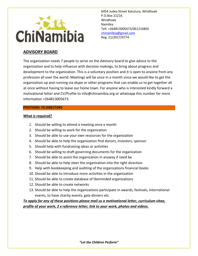

# **ADVISORY BOARD**

The organization needs 7 people to serve on the Advisory board to give advice to the organization and to help influence with decision makings, to bring about progress and development to the organization. This is a voluntary position and it is open to anyone from any profession all over the world. Meetings will be once in a month since we would like to get the organization up and running via skype or other programs that can enable us to get together all at once without having to leave our home town. For anyone who is interested kindly forward a motivational letter and CV/Profile to info@chinamibia.org or whatsapp this number for more information +264813005673.

## **POSITIONS: 7X DIRECTORS**

#### **What is required?**

- 1. Should be willing to attend a meeting once a month
- 2. Should be willing to work for the organization
- 3. Should be able to use your own resources for the organization
- 4. Should be able to help the organization find donors, investors, sponsor
- 5. Should help with fundraising ideas or activities
- 6. Should be willing to draft governing documents for the organization
- 7. Should be able to assist the organization in anyway if need be
- 8. Should be able to help steer the organization into the right direction
- 9. Help with bookkeeping and auditing of the organizations financial books
- 10. Should be able to introduce more activities in the organization
- 11. Should be able to create database of likeminded organizations
- 12. Should be able to create networks
- 13. Should be able to help the organizations participate in awards, festivals, international events, to have charity events, gala dinners etc.

*To apply for any of these positions please mail us a motivational letter, curriculum vitae, profile of your work, 2 x reference letter, link to your work, photos and videos.*